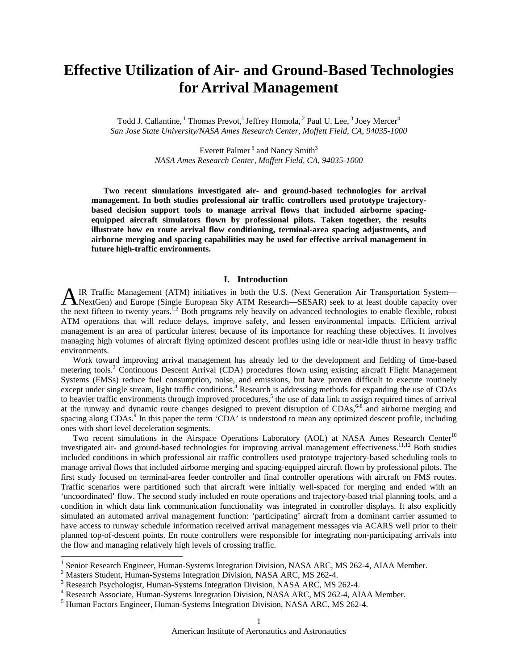# **Effective Utilization of Air- and Ground-Based Technologies for Arrival Management**

Todd J. Callantine, <sup>1</sup> Thomas Prevot, <sup>1</sup> Jeffrey Homola, <sup>2</sup> Paul U. Lee, <sup>3</sup> Joey Mercer<sup>4</sup> *San Jose State University/NASA Ames Research Center, Moffett Field, CA, 94035-1000* 

> Everett Palmer<sup>5</sup> and Nancy Smith<sup>3</sup> *NASA Ames Research Center, Moffett Field, CA, 94035-1000*

**Two recent simulations investigated air- and ground-based technologies for arrival management. In both studies professional air traffic controllers used prototype trajectorybased decision support tools to manage arrival flows that included airborne spacingequipped aircraft simulators flown by professional pilots. Taken together, the results illustrate how en route arrival flow conditioning, terminal-area spacing adjustments, and airborne merging and spacing capabilities may be used for effective arrival management in future high-traffic environments.** 

# **I. Introduction**

IR Traffic Management (ATM) initiatives in both the U.S. (Next Generation Air Transportation System— AIR Traffic Management (ATM) initiatives in both the U.S. (Next Generation Air Transportation System—<br>NextGen) and Europe (Single European Sky ATM Research—SESAR) seek to at least double capacity over the next fifteen to twenty years.<sup>1,2</sup> Both programs rely heavily on advanced technologies to enable flexible, robust ATM operations that will reduce delays, improve safety, and lessen environmental impacts. Efficient arrival management is an area of particular interest because of its importance for reaching these objectives. It involves managing high volumes of aircraft flying optimized descent profiles using idle or near-idle thrust in heavy traffic environments.

Work toward improving arrival management has already led to the development and fielding of time-based metering tools.<sup>3</sup> Continuous Descent Arrival (CDA) procedures flown using existing aircraft Flight Management Systems (FMSs) reduce fuel consumption, noise, and emissions, but have proven difficult to execute routinely except under single stream, light traffic conditions.<sup>4</sup> Research is addressing methods for expanding the use of CDAs to heavier traffic environments through improved procedures,<sup>5</sup> the use of data link to assign required times of arrival at the runway and dynamic route changes designed to prevent disruption of  $CDAs$ <sup>6-8</sup> and airborne merging and spacing along CDAs.<sup>9</sup> In this paper the term 'CDA' is understood to mean any optimized descent profile, including ones with short level deceleration segments.

Two recent simulations in the Airspace Operations Laboratory (AOL) at NASA Ames Research Center<sup>10</sup> investigated air- and ground-based technologies for improving arrival management effectiveness.<sup>11,12</sup> Both studies included conditions in which professional air traffic controllers used prototype trajectory-based scheduling tools to manage arrival flows that included airborne merging and spacing-equipped aircraft flown by professional pilots. The first study focused on terminal-area feeder controller and final controller operations with aircraft on FMS routes. Traffic scenarios were partitioned such that aircraft were initially well-spaced for merging and ended with an 'uncoordinated' flow. The second study included en route operations and trajectory-based trial planning tools, and a condition in which data link communication functionality was integrated in controller displays. It also explicitly simulated an automated arrival management function: 'participating' aircraft from a dominant carrier assumed to have access to runway schedule information received arrival management messages via ACARS well prior to their planned top-of-descent points. En route controllers were responsible for integrating non-participating arrivals into the flow and managing relatively high levels of crossing traffic.

-

<sup>&</sup>lt;sup>1</sup> Senior Research Engineer, Human-Systems Integration Division, NASA ARC, MS 262-4, AIAA Member.

<sup>&</sup>lt;sup>2</sup> Masters Student, Human-Systems Integration Division, NASA ARC, MS 262-4.

<sup>&</sup>lt;sup>3</sup> Research Psychologist, Human-Systems Integration Division, NASA ARC, MS 262-4.

<sup>&</sup>lt;sup>4</sup> Research Associate, Human-Systems Integration Division, NASA ARC, MS 262-4, AIAA Member.

 $<sup>5</sup>$  Human Factors Engineer, Human-Systems Integration Division, NASA ARC, MS 262-4.</sup>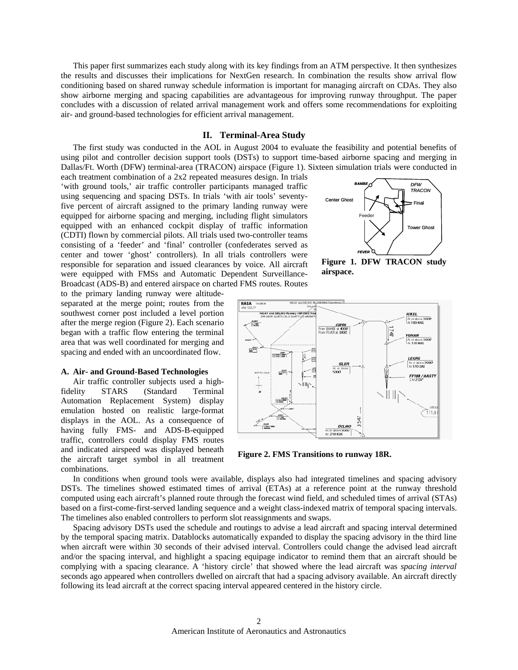This paper first summarizes each study along with its key findings from an ATM perspective. It then synthesizes the results and discusses their implications for NextGen research. In combination the results show arrival flow conditioning based on shared runway schedule information is important for managing aircraft on CDAs. They also show airborne merging and spacing capabilities are advantageous for improving runway throughput. The paper concludes with a discussion of related arrival management work and offers some recommendations for exploiting air- and ground-based technologies for efficient arrival management.

## **II. Terminal-Area Study**

The first study was conducted in the AOL in August 2004 to evaluate the feasibility and potential benefits of using pilot and controller decision support tools (DSTs) to support time-based airborne spacing and merging in Dallas/Ft. Worth (DFW) terminal-area (TRACON) airspace (Figure 1). Sixteen simulation trials were conducted in

each treatment combination of a 2x2 repeated measures design. In trials 'with ground tools,' air traffic controller participants managed traffic using sequencing and spacing DSTs. In trials 'with air tools' seventyfive percent of aircraft assigned to the primary landing runway were equipped for airborne spacing and merging, including flight simulators equipped with an enhanced cockpit display of traffic information (CDTI) flown by commercial pilots. All trials used two-controller teams consisting of a 'feeder' and 'final' controller (confederates served as center and tower 'ghost' controllers). In all trials controllers were responsible for separation and issued clearances by voice. All aircraft were equipped with FMSs and Automatic Dependent Surveillance-Broadcast (ADS-B) and entered airspace on charted FMS routes. Routes

to the primary landing runway were altitudeseparated at the merge point; routes from the southwest corner post included a level portion after the merge region (Figure 2). Each scenario began with a traffic flow entering the terminal area that was well coordinated for merging and spacing and ended with an uncoordinated flow.

## **A. Air- and Ground-Based Technologies**

Air traffic controller subjects used a highfidelity STARS (Standard Terminal Automation Replacement System) display emulation hosted on realistic large-format displays in the AOL. As a consequence of having fully FMS- and ADS-B-equipped traffic, controllers could display FMS routes and indicated airspeed was displayed beneath the aircraft target symbol in all treatment combinations.



**Figure 1. DFW TRACON study airspace.** 



**Figure 2. FMS Transitions to runway 18R.** 

In conditions when ground tools were available, displays also had integrated timelines and spacing advisory DSTs. The timelines showed estimated times of arrival (ETAs) at a reference point at the runway threshold computed using each aircraft's planned route through the forecast wind field, and scheduled times of arrival (STAs) based on a first-come-first-served landing sequence and a weight class-indexed matrix of temporal spacing intervals. The timelines also enabled controllers to perform slot reassignments and swaps.

Spacing advisory DSTs used the schedule and routings to advise a lead aircraft and spacing interval determined by the temporal spacing matrix. Datablocks automatically expanded to display the spacing advisory in the third line when aircraft were within 30 seconds of their advised interval. Controllers could change the advised lead aircraft and/or the spacing interval, and highlight a spacing equipage indicator to remind them that an aircraft should be complying with a spacing clearance. A 'history circle' that showed where the lead aircraft was *spacing interval* seconds ago appeared when controllers dwelled on aircraft that had a spacing advisory available. An aircraft directly following its lead aircraft at the correct spacing interval appeared centered in the history circle.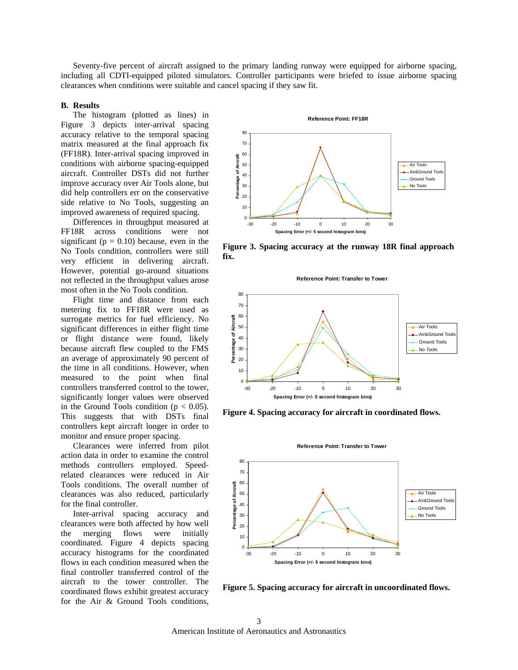Seventy-five percent of aircraft assigned to the primary landing runway were equipped for airborne spacing, including all CDTI-equipped piloted simulators. Controller participants were briefed to issue airborne spacing clearances when conditions were suitable and cancel spacing if they saw fit.

#### **B. Results**

The histogram (plotted as lines) in Figure 3 depicts inter-arrival spacing accuracy relative to the temporal spacing matrix measured at the final approach fix (FF18R). Inter-arrival spacing improved in conditions with airborne spacing-equipped aircraft. Controller DSTs did not further improve accuracy over Air Tools alone, but did help controllers err on the conservative side relative to No Tools, suggesting an improved awareness of required spacing.

Differences in throughput measured at FF18R across conditions were not significant ( $p = 0.10$ ) because, even in the No Tools condition, controllers were still very efficient in delivering aircraft. However, potential go-around situations not reflected in the throughput values arose most often in the No Tools condition.

Flight time and distance from each metering fix to FF18R were used as surrogate metrics for fuel efficiency. No significant differences in either flight time or flight distance were found, likely because aircraft flew coupled to the FMS an average of approximately 90 percent of the time in all conditions. However, when measured to the point when final controllers transferred control to the tower, significantly longer values were observed in the Ground Tools condition ( $p < 0.05$ ). This suggests that with DSTs final controllers kept aircraft longer in order to monitor and ensure proper spacing.

Clearances were inferred from pilot action data in order to examine the control methods controllers employed. Speedrelated clearances were reduced in Air Tools conditions. The overall number of clearances was also reduced, particularly for the final controller.

Inter-arrival spacing accuracy and clearances were both affected by how well the merging flows were initially coordinated. Figure 4 depicts spacing accuracy histograms for the coordinated flows in each condition measured when the final controller transferred control of the aircraft to the tower controller. The coordinated flows exhibit greatest accuracy for the Air & Ground Tools conditions,



**Figure 3. Spacing accuracy at the runway 18R final approach fix.** 





**Figure 4. Spacing accuracy for aircraft in coordinated flows.** 



**Figure 5. Spacing accuracy for aircraft in uncoordinated flows.**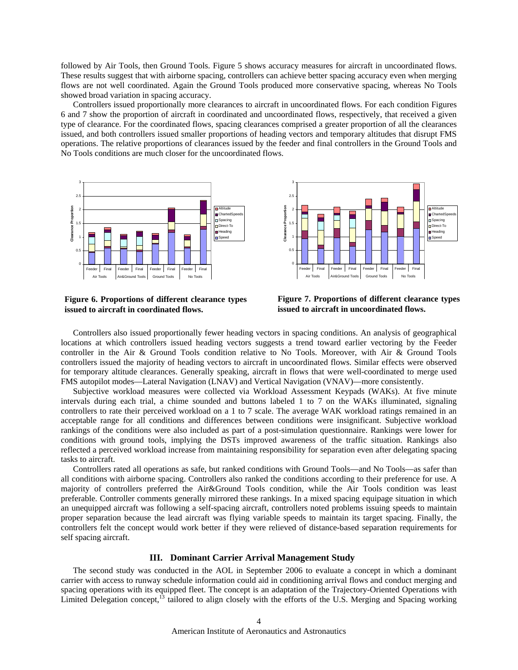followed by Air Tools, then Ground Tools. Figure 5 shows accuracy measures for aircraft in uncoordinated flows. These results suggest that with airborne spacing, controllers can achieve better spacing accuracy even when merging flows are not well coordinated. Again the Ground Tools produced more conservative spacing, whereas No Tools showed broad variation in spacing accuracy.

Controllers issued proportionally more clearances to aircraft in uncoordinated flows. For each condition Figures 6 and 7 show the proportion of aircraft in coordinated and uncoordinated flows, respectively, that received a given type of clearance. For the coordinated flows, spacing clearances comprised a greater proportion of all the clearances issued, and both controllers issued smaller proportions of heading vectors and temporary altitudes that disrupt FMS operations. The relative proportions of clearances issued by the feeder and final controllers in the Ground Tools and No Tools conditions are much closer for the uncoordinated flows.



**Figure 6. Proportions of different clearance types issued to aircraft in coordinated flows.** 



**Figure 7. Proportions of different clearance types issued to aircraft in uncoordinated flows.** 

Controllers also issued proportionally fewer heading vectors in spacing conditions. An analysis of geographical locations at which controllers issued heading vectors suggests a trend toward earlier vectoring by the Feeder controller in the Air & Ground Tools condition relative to No Tools. Moreover, with Air & Ground Tools controllers issued the majority of heading vectors to aircraft in uncoordinated flows. Similar effects were observed for temporary altitude clearances. Generally speaking, aircraft in flows that were well-coordinated to merge used FMS autopilot modes—Lateral Navigation (LNAV) and Vertical Navigation (VNAV)—more consistently.

Subjective workload measures were collected via Workload Assessment Keypads (WAKs). At five minute intervals during each trial, a chime sounded and buttons labeled 1 to 7 on the WAKs illuminated, signaling controllers to rate their perceived workload on a 1 to 7 scale. The average WAK workload ratings remained in an acceptable range for all conditions and differences between conditions were insignificant. Subjective workload rankings of the conditions were also included as part of a post-simulation questionnaire. Rankings were lower for conditions with ground tools, implying the DSTs improved awareness of the traffic situation. Rankings also reflected a perceived workload increase from maintaining responsibility for separation even after delegating spacing tasks to aircraft.

Controllers rated all operations as safe, but ranked conditions with Ground Tools—and No Tools—as safer than all conditions with airborne spacing. Controllers also ranked the conditions according to their preference for use. A majority of controllers preferred the Air&Ground Tools condition, while the Air Tools condition was least preferable. Controller comments generally mirrored these rankings. In a mixed spacing equipage situation in which an unequipped aircraft was following a self-spacing aircraft, controllers noted problems issuing speeds to maintain proper separation because the lead aircraft was flying variable speeds to maintain its target spacing. Finally, the controllers felt the concept would work better if they were relieved of distance-based separation requirements for self spacing aircraft.

## **III. Dominant Carrier Arrival Management Study**

The second study was conducted in the AOL in September 2006 to evaluate a concept in which a dominant carrier with access to runway schedule information could aid in conditioning arrival flows and conduct merging and spacing operations with its equipped fleet. The concept is an adaptation of the Trajectory-Oriented Operations with Limited Delegation concept,<sup>13</sup> tailored to align closely with the efforts of the U.S. Merging and Spacing working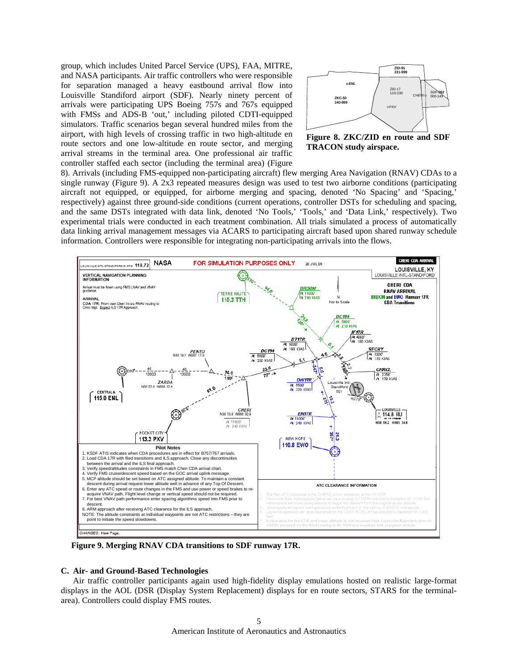group, which includes United Parcel Service (UPS), FAA, MITRE, and NASA participants. Air traffic controllers who were responsible for separation managed a heavy eastbound arrival flow into Louisville Standiford airport (SDF). Nearly ninety percent of arrivals were participating UPS Boeing 757s and 767s equipped with FMSs and ADS-B 'out,' including piloted CDTI-equipped simulators. Traffic scenarios began several hundred miles from the airport, with high levels of crossing traffic in two high-altitude en route sectors and one low-altitude en route sector, and merging arrival streams in the terminal area. One professional air traffic controller staffed each sector (including the terminal area) (Figure



**Figure 8. ZKC/ZID en route and SDF TRACON study airspace.** 

8). Arrivals (including FMS-equipped non-participating aircraft) flew merging Area Navigation (RNAV) CDAs to a single runway (Figure 9). A 2x3 repeated measures design was used to test two airborne conditions (participating aircraft not equipped, or equipped, for airborne merging and spacing, denoted 'No Spacing' and 'Spacing,' respectively) against three ground-side conditions (current operations, controller DSTs for scheduling and spacing, and the same DSTs integrated with data link, denoted 'No Tools,' 'Tools,' and 'Data Link,' respectively). Two experimental trials were conducted in each treatment combination. All trials simulated a process of automatically data linking arrival management messages via ACARS to participating aircraft based upon shared runway schedule information. Controllers were responsible for integrating non-participating arrivals into the flows.



 **Figure 9. Merging RNAV CDA transitions to SDF runway 17R.** 

# **C. Air- and Ground-Based Technologies**

Air traffic controller participants again used high-fidelity display emulations hosted on realistic large-format displays in the AOL (DSR (Display System Replacement) displays for en route sectors, STARS for the terminalarea). Controllers could display FMS routes.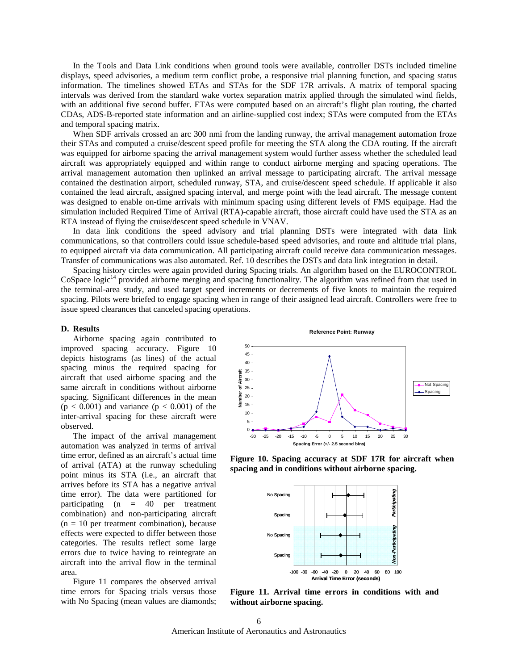In the Tools and Data Link conditions when ground tools were available, controller DSTs included timeline displays, speed advisories, a medium term conflict probe, a responsive trial planning function, and spacing status information. The timelines showed ETAs and STAs for the SDF 17R arrivals. A matrix of temporal spacing intervals was derived from the standard wake vortex separation matrix applied through the simulated wind fields, with an additional five second buffer. ETAs were computed based on an aircraft's flight plan routing, the charted CDAs, ADS-B-reported state information and an airline-supplied cost index; STAs were computed from the ETAs and temporal spacing matrix.

When SDF arrivals crossed an arc 300 nmi from the landing runway, the arrival management automation froze their STAs and computed a cruise/descent speed profile for meeting the STA along the CDA routing. If the aircraft was equipped for airborne spacing the arrival management system would further assess whether the scheduled lead aircraft was appropriately equipped and within range to conduct airborne merging and spacing operations. The arrival management automation then uplinked an arrival message to participating aircraft. The arrival message contained the destination airport, scheduled runway, STA, and cruise/descent speed schedule. If applicable it also contained the lead aircraft, assigned spacing interval, and merge point with the lead aircraft. The message content was designed to enable on-time arrivals with minimum spacing using different levels of FMS equipage. Had the simulation included Required Time of Arrival (RTA)-capable aircraft, those aircraft could have used the STA as an RTA instead of flying the cruise/descent speed schedule in VNAV.

In data link conditions the speed advisory and trial planning DSTs were integrated with data link communications, so that controllers could issue schedule-based speed advisories, and route and altitude trial plans, to equipped aircraft via data communication. All participating aircraft could receive data communication messages. Transfer of communications was also automated. Ref. 10 describes the DSTs and data link integration in detail.

Spacing history circles were again provided during Spacing trials. An algorithm based on the EUROCONTROL CoSpace logic<sup>14</sup> provided airborne merging and spacing functionality. The algorithm was refined from that used in the terminal-area study, and used target speed increments or decrements of five knots to maintain the required spacing. Pilots were briefed to engage spacing when in range of their assigned lead aircraft. Controllers were free to issue speed clearances that canceled spacing operations.

### **D. Results**

Airborne spacing again contributed to improved spacing accuracy. Figure 10 depicts histograms (as lines) of the actual spacing minus the required spacing for aircraft that used airborne spacing and the same aircraft in conditions without airborne spacing. Significant differences in the mean  $(p < 0.001)$  and variance  $(p < 0.001)$  of the inter-arrival spacing for these aircraft were observed.

The impact of the arrival management automation was analyzed in terms of arrival time error, defined as an aircraft's actual time of arrival (ATA) at the runway scheduling point minus its STA (i.e., an aircraft that arrives before its STA has a negative arrival time error). The data were partitioned for participating  $(n = 40$  per treatment combination) and non-participating aircraft  $(n = 10)$  per treatment combination), because effects were expected to differ between those categories. The results reflect some large errors due to twice having to reintegrate an aircraft into the arrival flow in the terminal area.

Figure 11 compares the observed arrival time errors for Spacing trials versus those with No Spacing (mean values are diamonds;



**Figure 10. Spacing accuracy at SDF 17R for aircraft when spacing and in conditions without airborne spacing.** 



**Figure 11. Arrival time errors in conditions with and without airborne spacing.**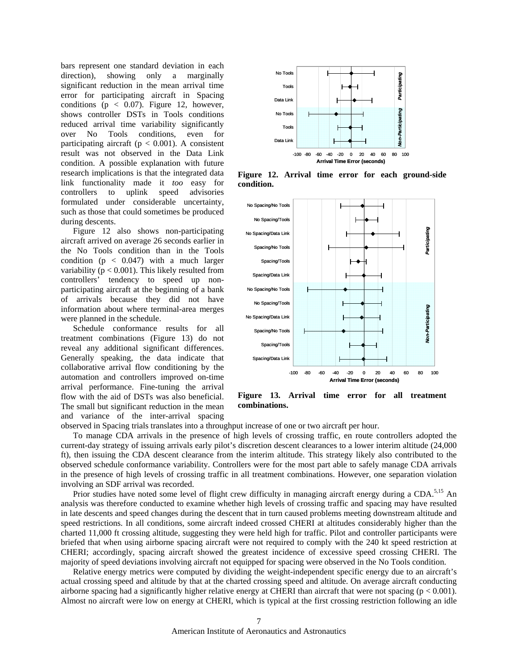bars represent one standard deviation in each direction), showing only a marginally significant reduction in the mean arrival time error for participating aircraft in Spacing conditions ( $p < 0.07$ ). Figure 12, however, shows controller DSTs in Tools conditions reduced arrival time variability significantly over No Tools conditions, even for participating aircraft ( $p < 0.001$ ). A consistent result was not observed in the Data Link condition. A possible explanation with future research implications is that the integrated data link functionality made it *too* easy for controllers to uplink speed advisories formulated under considerable uncertainty, such as those that could sometimes be produced during descents.

Figure 12 also shows non-participating aircraft arrived on average 26 seconds earlier in the No Tools condition than in the Tools condition  $(p < 0.047)$  with a much larger variability ( $p < 0.001$ ). This likely resulted from controllers' tendency to speed up nonparticipating aircraft at the beginning of a bank of arrivals because they did not have information about where terminal-area merges were planned in the schedule.

Schedule conformance results for all treatment combinations (Figure 13) do not reveal any additional significant differences. Generally speaking, the data indicate that collaborative arrival flow conditioning by the automation and controllers improved on-time arrival performance. Fine-tuning the arrival flow with the aid of DSTs was also beneficial. The small but significant reduction in the mean and variance of the inter-arrival spacing



**Figure 12. Arrival time error for each ground-side condition.**



**Figure 13. Arrival time error for all treatment combinations.** 

observed in Spacing trials translates into a throughput increase of one or two aircraft per hour.

To manage CDA arrivals in the presence of high levels of crossing traffic, en route controllers adopted the current-day strategy of issuing arrivals early pilot's discretion descent clearances to a lower interim altitude (24,000 ft), then issuing the CDA descent clearance from the interim altitude. This strategy likely also contributed to the observed schedule conformance variability. Controllers were for the most part able to safely manage CDA arrivals in the presence of high levels of crossing traffic in all treatment combinations. However, one separation violation involving an SDF arrival was recorded.

Prior studies have noted some level of flight crew difficulty in managing aircraft energy during a CDA.<sup>5,15</sup> An analysis was therefore conducted to examine whether high levels of crossing traffic and spacing may have resulted in late descents and speed changes during the descent that in turn caused problems meeting downstream altitude and speed restrictions. In all conditions, some aircraft indeed crossed CHERI at altitudes considerably higher than the charted 11,000 ft crossing altitude, suggesting they were held high for traffic. Pilot and controller participants were briefed that when using airborne spacing aircraft were not required to comply with the 240 kt speed restriction at CHERI; accordingly, spacing aircraft showed the greatest incidence of excessive speed crossing CHERI. The majority of speed deviations involving aircraft not equipped for spacing were observed in the No Tools condition.

Relative energy metrics were computed by dividing the weight-independent specific energy due to an aircraft's actual crossing speed and altitude by that at the charted crossing speed and altitude. On average aircraft conducting airborne spacing had a significantly higher relative energy at CHERI than aircraft that were not spacing ( $p < 0.001$ ). Almost no aircraft were low on energy at CHERI, which is typical at the first crossing restriction following an idle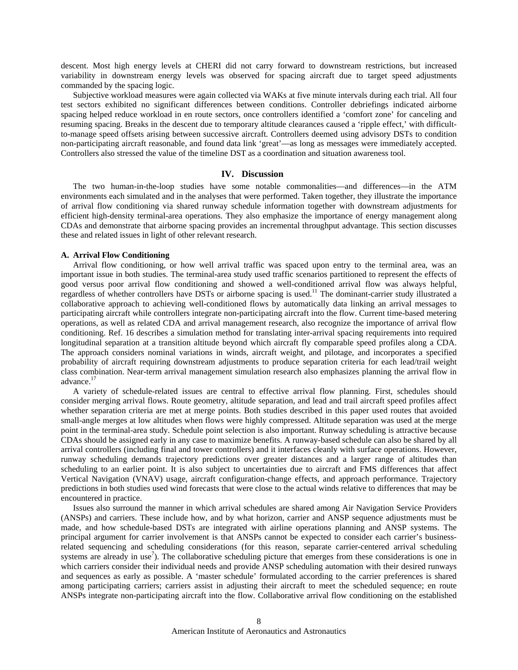descent. Most high energy levels at CHERI did not carry forward to downstream restrictions, but increased variability in downstream energy levels was observed for spacing aircraft due to target speed adjustments commanded by the spacing logic.

Subjective workload measures were again collected via WAKs at five minute intervals during each trial. All four test sectors exhibited no significant differences between conditions. Controller debriefings indicated airborne spacing helped reduce workload in en route sectors, once controllers identified a 'comfort zone' for canceling and resuming spacing. Breaks in the descent due to temporary altitude clearances caused a 'ripple effect,' with difficultto-manage speed offsets arising between successive aircraft. Controllers deemed using advisory DSTs to condition non-participating aircraft reasonable, and found data link 'great'—as long as messages were immediately accepted. Controllers also stressed the value of the timeline DST as a coordination and situation awareness tool.

# **IV. Discussion**

The two human-in-the-loop studies have some notable commonalities—and differences—in the ATM environments each simulated and in the analyses that were performed. Taken together, they illustrate the importance of arrival flow conditioning via shared runway schedule information together with downstream adjustments for efficient high-density terminal-area operations. They also emphasize the importance of energy management along CDAs and demonstrate that airborne spacing provides an incremental throughput advantage. This section discusses these and related issues in light of other relevant research.

# **A. Arrival Flow Conditioning**

Arrival flow conditioning, or how well arrival traffic was spaced upon entry to the terminal area, was an important issue in both studies. The terminal-area study used traffic scenarios partitioned to represent the effects of good versus poor arrival flow conditioning and showed a well-conditioned arrival flow was always helpful, regardless of whether controllers have DSTs or airborne spacing is used.11 The dominant-carrier study illustrated a collaborative approach to achieving well-conditioned flows by automatically data linking an arrival messages to participating aircraft while controllers integrate non-participating aircraft into the flow. Current time-based metering operations, as well as related CDA and arrival management research, also recognize the importance of arrival flow conditioning. Ref. 16 describes a simulation method for translating inter-arrival spacing requirements into required longitudinal separation at a transition altitude beyond which aircraft fly comparable speed profiles along a CDA. The approach considers nominal variations in winds, aircraft weight, and pilotage, and incorporates a specified probability of aircraft requiring downstream adjustments to produce separation criteria for each lead/trail weight class combination. Near-term arrival management simulation research also emphasizes planning the arrival flow in advance.<sup>17</sup>

A variety of schedule-related issues are central to effective arrival flow planning. First, schedules should consider merging arrival flows. Route geometry, altitude separation, and lead and trail aircraft speed profiles affect whether separation criteria are met at merge points. Both studies described in this paper used routes that avoided small-angle merges at low altitudes when flows were highly compressed. Altitude separation was used at the merge point in the terminal-area study. Schedule point selection is also important. Runway scheduling is attractive because CDAs should be assigned early in any case to maximize benefits. A runway-based schedule can also be shared by all arrival controllers (including final and tower controllers) and it interfaces cleanly with surface operations. However, runway scheduling demands trajectory predictions over greater distances and a larger range of altitudes than scheduling to an earlier point. It is also subject to uncertainties due to aircraft and FMS differences that affect Vertical Navigation (VNAV) usage, aircraft configuration-change effects, and approach performance. Trajectory predictions in both studies used wind forecasts that were close to the actual winds relative to differences that may be encountered in practice.

Issues also surround the manner in which arrival schedules are shared among Air Navigation Service Providers (ANSPs) and carriers. These include how, and by what horizon, carrier and ANSP sequence adjustments must be made, and how schedule-based DSTs are integrated with airline operations planning and ANSP systems. The principal argument for carrier involvement is that ANSPs cannot be expected to consider each carrier's businessrelated sequencing and scheduling considerations (for this reason, separate carrier-centered arrival scheduling systems are already in use<sup>7</sup>). The collaborative scheduling picture that emerges from these considerations is one in which carriers consider their individual needs and provide ANSP scheduling automation with their desired runways and sequences as early as possible. A 'master schedule' formulated according to the carrier preferences is shared among participating carriers; carriers assist in adjusting their aircraft to meet the scheduled sequence; en route ANSPs integrate non-participating aircraft into the flow. Collaborative arrival flow conditioning on the established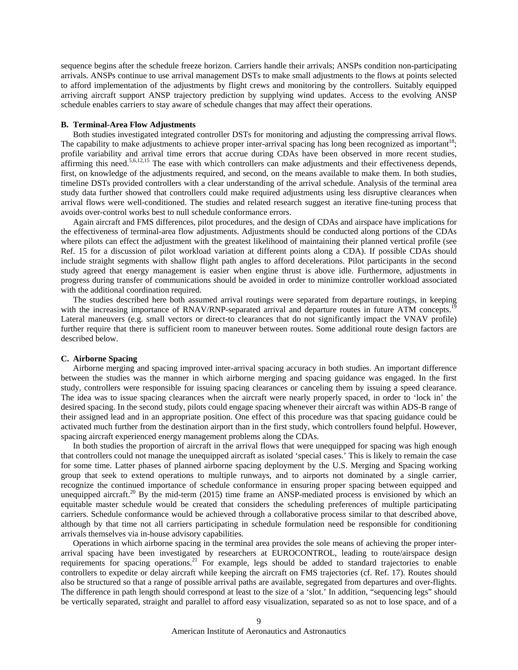sequence begins after the schedule freeze horizon. Carriers handle their arrivals; ANSPs condition non-participating arrivals. ANSPs continue to use arrival management DSTs to make small adjustments to the flows at points selected to afford implementation of the adjustments by flight crews and monitoring by the controllers. Suitably equipped arriving aircraft support ANSP trajectory prediction by supplying wind updates. Access to the evolving ANSP schedule enables carriers to stay aware of schedule changes that may affect their operations.

## **B. Terminal-Area Flow Adjustments**

Both studies investigated integrated controller DSTs for monitoring and adjusting the compressing arrival flows. The capability to make adjustments to achieve proper inter-arrival spacing has long been recognized as important<sup>18</sup>; profile variability and arrival time errors that accrue during CDAs have been observed in more recent studies, affirming this need.<sup>5,6,12,15</sup> The ease with which controllers can make adjustments and their effectiveness depends, first, on knowledge of the adjustments required, and second, on the means available to make them. In both studies, timeline DSTs provided controllers with a clear understanding of the arrival schedule. Analysis of the terminal area study data further showed that controllers could make required adjustments using less disruptive clearances when arrival flows were well-conditioned. The studies and related research suggest an iterative fine-tuning process that avoids over-control works best to null schedule conformance errors.

Again aircraft and FMS differences, pilot procedures, and the design of CDAs and airspace have implications for the effectiveness of terminal-area flow adjustments. Adjustments should be conducted along portions of the CDAs where pilots can effect the adjustment with the greatest likelihood of maintaining their planned vertical profile (see Ref. 15 for a discussion of pilot workload variation at different points along a CDA). If possible CDAs should include straight segments with shallow flight path angles to afford decelerations. Pilot participants in the second study agreed that energy management is easier when engine thrust is above idle. Furthermore, adjustments in progress during transfer of communications should be avoided in order to minimize controller workload associated with the additional coordination required.

The studies described here both assumed arrival routings were separated from departure routings, in keeping with the increasing importance of RNAV/RNP-separated arrival and departure routes in future ATM concepts.<sup>1</sup> Lateral maneuvers (e.g. small vectors or direct-to clearances that do not significantly impact the VNAV profile) further require that there is sufficient room to maneuver between routes. Some additional route design factors are described below.

## **C. Airborne Spacing**

Airborne merging and spacing improved inter-arrival spacing accuracy in both studies. An important difference between the studies was the manner in which airborne merging and spacing guidance was engaged. In the first study, controllers were responsible for issuing spacing clearances or canceling them by issuing a speed clearance. The idea was to issue spacing clearances when the aircraft were nearly properly spaced, in order to 'lock in' the desired spacing. In the second study, pilots could engage spacing whenever their aircraft was within ADS-B range of their assigned lead and in an appropriate position. One effect of this procedure was that spacing guidance could be activated much further from the destination airport than in the first study, which controllers found helpful. However, spacing aircraft experienced energy management problems along the CDAs.

In both studies the proportion of aircraft in the arrival flows that were unequipped for spacing was high enough that controllers could not manage the unequipped aircraft as isolated 'special cases.' This is likely to remain the case for some time. Latter phases of planned airborne spacing deployment by the U.S. Merging and Spacing working group that seek to extend operations to multiple runways, and to airports not dominated by a single carrier, recognize the continued importance of schedule conformance in ensuring proper spacing between equipped and unequipped aircraft.<sup>20</sup> By the mid-term (2015) time frame an ANSP-mediated process is envisioned by which an equitable master schedule would be created that considers the scheduling preferences of multiple participating carriers. Schedule conformance would be achieved through a collaborative process similar to that described above, although by that time not all carriers participating in schedule formulation need be responsible for conditioning arrivals themselves via in-house advisory capabilities.

Operations in which airborne spacing in the terminal area provides the sole means of achieving the proper interarrival spacing have been investigated by researchers at EUROCONTROL, leading to route/airspace design requirements for spacing operations.<sup>21</sup> For example, legs should be added to standard trajectories to enable controllers to expedite or delay aircraft while keeping the aircraft on FMS trajectories (cf. Ref. 17). Routes should also be structured so that a range of possible arrival paths are available, segregated from departures and over-flights. The difference in path length should correspond at least to the size of a 'slot.' In addition, "sequencing legs" should be vertically separated, straight and parallel to afford easy visualization, separated so as not to lose space, and of a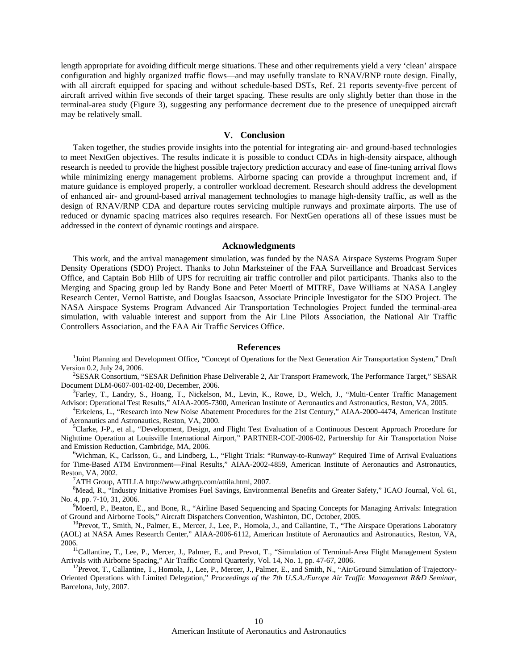length appropriate for avoiding difficult merge situations. These and other requirements yield a very 'clean' airspace configuration and highly organized traffic flows—and may usefully translate to RNAV/RNP route design. Finally, with all aircraft equipped for spacing and without schedule-based DSTs, Ref. 21 reports seventy-five percent of aircraft arrived within five seconds of their target spacing. These results are only slightly better than those in the terminal-area study (Figure 3), suggesting any performance decrement due to the presence of unequipped aircraft may be relatively small.

## **V. Conclusion**

Taken together, the studies provide insights into the potential for integrating air- and ground-based technologies to meet NextGen objectives. The results indicate it is possible to conduct CDAs in high-density airspace, although research is needed to provide the highest possible trajectory prediction accuracy and ease of fine-tuning arrival flows while minimizing energy management problems. Airborne spacing can provide a throughput increment and, if mature guidance is employed properly, a controller workload decrement. Research should address the development of enhanced air- and ground-based arrival management technologies to manage high-density traffic, as well as the design of RNAV/RNP CDA and departure routes servicing multiple runways and proximate airports. The use of reduced or dynamic spacing matrices also requires research. For NextGen operations all of these issues must be addressed in the context of dynamic routings and airspace.

## **Acknowledgments**

This work, and the arrival management simulation, was funded by the NASA Airspace Systems Program Super Density Operations (SDO) Project. Thanks to John Marksteiner of the FAA Surveillance and Broadcast Services Office, and Captain Bob Hilb of UPS for recruiting air traffic controller and pilot participants. Thanks also to the Merging and Spacing group led by Randy Bone and Peter Moertl of MITRE, Dave Williams at NASA Langley Research Center, Vernol Battiste, and Douglas Isaacson, Associate Principle Investigator for the SDO Project. The NASA Airspace Systems Program Advanced Air Transportation Technologies Project funded the terminal-area simulation, with valuable interest and support from the Air Line Pilots Association, the National Air Traffic Controllers Association, and the FAA Air Traffic Services Office.

# **References**

<sup>1</sup>Joint Planning and Development Office, "Concept of Operations for the Next Generation Air Transportation System," Draft Version 0.2, July 24, 2006. 2

<sup>2</sup>SESAR Consortium, "SESAR Definition Phase Deliverable 2, Air Transport Framework, The Performance Target," SESAR Document DLM-0607-001-02-00, December, 2006. 3

Farley, T., Landry, S., Hoang, T., Nickelson, M., Levin, K., Rowe, D., Welch, J., "Multi-Center Traffic Management Advisor: Operational Test Results," AIAA-2005-7300, American Institute of Aeronautics and Astronautics, Reston, VA, 2005. 4

Erkelens, L., "Research into New Noise Abatement Procedures for the 21st Century," AIAA-2000-4474, American Institute of Aeronautics and Astronautics, Reston, VA, 2000.

<sup>5</sup>Clarke, J-P., et al., "Development, Design, and Flight Test Evaluation of a Continuous Descent Approach Procedure for Nighttime Operation at Louisville International Airport," PARTNER-COE-2006-02, Partnership for Air Transportation Noise and Emission Reduction, Cambridge, MA, 2006.

Wichman, K., Carlsson, G., and Lindberg, L., "Flight Trials: "Runway-to-Runway" Required Time of Arrival Evaluations for Time-Based ATM Environment—Final Results," AIAA-2002-4859, American Institute of Aeronautics and Astronautics, Reston, VA, 2002.

 $A<sup>7</sup>$ ATH Group, ATILLA http://www.athgrp.com/attila.html, 2007.

<sup>8</sup>Mead, R., "Industry Initiative Promises Fuel Savings, Environmental Benefits and Greater Safety," ICAO Journal, Vol. 61, No. 4, pp. 7-10, 31, 2006.

<sup>9</sup> Moertl, P., Beaton, E., and Bone, R., "Airline Based Sequencing and Spacing Concepts for Managing Arrivals: Integration of Ground and Airborne Tools," Aircraft Dispatchers Convention, Washinton, DC, October, 2005.

<sup>10</sup>Prevot, T., Smith, N., Palmer, E., Mercer, J., Lee, P., Homola, J., and Callantine, T., "The Airspace Operations Laboratory (AOL) at NASA Ames Research Center," AIAA-2006-6112, American Institute of Aeronautics and Astronautics, Reston, VA, 2006. 11Callantine, T., Lee, P., Mercer, J., Palmer, E., and Prevot, T., "Simulation of Terminal-Area Flight Management System

Arrivals with Airborne Spacing," Air Traffic Control Quarterly, Vol. 14, No. 1, pp. 47-67, 2006. <sup>12</sup>Prevot, T., Callantine, T., Homola, J., Lee, P., Mercer, J., Palmer, E., and Smith, N., "Air/Ground Simulation of Traject

Oriented Operations with Limited Delegation," *Proceedings of the 7th U.S.A./Europe Air Traffic Management R&D Seminar*, Barcelona, July, 2007.